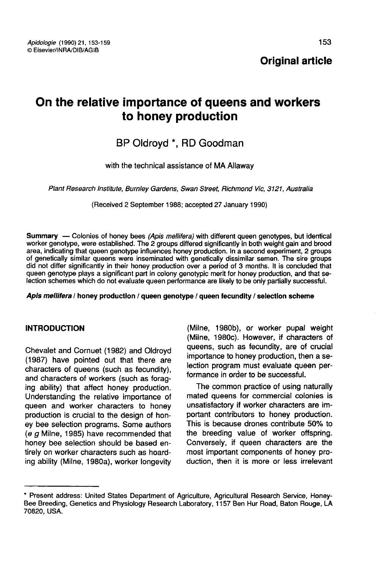# On the relative importance of queens and workers to honey production

## BP Oldroyd \*, RD Goodman

with the technical assistance of MA Allaway

Plant Research Institute, Burnley Gardens, Swan Street, Richmond Vic, 3121, Australia

(Received 2 September 1988; accepted 27 January 1990)

Summary — Colonies of honey bees (Apis mellifera) with different queen genotypes, but identical worker genotype, were established. The 2 groups differed significantly in both weight gain and brood area, indicating that queen genotype influences honey production. In a second experiment, 2 groups of genetically similar queens were inseminated with genetically dissimilar semen. The sire groups did not differ significantly in their honey production over a period of 3 months. It is concluded that queen genotype plays a significant part in colony genotypic merit for honey production, and that selection schemes which do not evaluate queen performance are likely to be only partially successful.

Apis mellifera / honey production / queen genotype / queen fecundity / selection scheme

## INTRODUCTION

Chevalet and Cornuet (1982) and Oldroyd (1987) have pointed out that there are characters of queens (such as fecundity), and characters of workers (such as foraging ability) that affect honey production. Understanding the relative importance of queen and worker characters to honey production is crucial to the design of honey bee selection programs. Some authors (e g Milne, 1985) have recommended that honey bee selection should be based entirely on worker characters such as hoarding ability (Milne, 1980a), worker longevity (Milne, 1980b), or worker pupal weight (Milne, 1980c). However, if characters of queens, such as fecundity, are of crucial importance to honey production, then a selection program must evaluate queen performance in order to be successful.

The common practice of using naturally mated queens for commercial colonies is unsatisfactory if worker characters are important contributors to honey production. This is because drones contribute 50% to the breeding value of worker offspring. Conversely, if queen characters are the most important components of honey production, then it is more or less irrelevant

<sup>\*</sup> Present address: United States Department of Agriculture, Agricultural Research Service, Honey-<br>Bee Breeding, Genetics and Physiology Research Laboratory, 1157 Ben Hur Road, Baton Rouge, LA 70820, USA.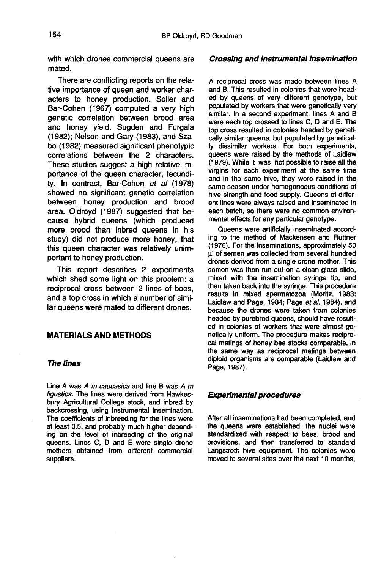with which drones commercial queens are mated.

There are conflicting reports on the relative importance of queen and worker characters to honey production. Soller and Bar-Cohen (1967) computed a very high genetic correlation between brood area and honey yield. Sugden and Furgala (1982); Nelson and Gary (1983), and Szabo (1982) measured significant phenotypic correlations between the 2 characters. These studies suggest a high relative importance of the queen character, fecundity. In contrast, Bar-Cohen et al (1978) showed no significant genetic correlation between honey production and brood area. Oldroyd (1987) suggested that because hybrid queens (which produced more brood than inbred queens in his study) did not produce more honey, that this queen character was relatively unimportant to honey production.

This report describes 2 experiments which shed some light on this problem: a reciprocal cross between 2 lines of bees, and a top cross in which a number of similar queens were mated to different drones.

## MATERIALS AND METHODS

#### The lines

Line A was  $A$  m caucasica and line B was  $A$  m ligustica. The lines were derived from Hawkesbury Agricultural College stock, and inbred by backcrossing, using instrumental insemination. The coefficients of inbreeding for the lines were at least 0.5, and probably much higher depending on the level of inbreeding of the original queens. Lines C, D and E were single drone mothers obtained from different commercial suppliers.

#### Crossing and instrumental insemination

A reciprocal cross was made between lines A and B. This resulted in colonies that were headed by queens of very different genotype, but populated by workers that were genetically very similar. In a second experiment, lines A and B were each top crossed to lines C, D and E. The top cross resulted in colonies headed by genetically similar queens, but populated by genetically dissimilar workers. For both experiments, queens were raised by the methods of Laidlaw (1979). While it was not possible to raise all the virgins for each experiment at the same time and in the same hive, they were raised in the same season under homogeneous conditions of hive strength and food supply. Queens of different lines were always raised and inseminated in each batch, so there were no common environmental effects for any particular genotype.

Queens were artificially inseminated according to the method of Mackensen and Ruttner (1976). For the inseminations, approximately 50 μl of semen was collected from several hundred .<br>drones derived from a single drone mother. This semen was then run out on a clean glass slide, mixed with the insemination syringe tip, and then taken back into the syringe. This procedure results in mixed spermatozoa (Moritz, 1983; Laidlaw and Page, 1984; Page et al, 1984), and because the drones were taken from colonies headed by purebred queens, should have resulted in colonies of workers that were almost genetically uniform. The procedure makes reciprocal matings of honey bee stocks comparable, in the same way as reciprocal matings between diploid organisms are comparable (Laidlaw and Page, 1987).

#### Experimental procedures

After all inseminations had been completed, and the queens were established, the nuclei were standardized with respect to bees, brood and provisions, and then transferred to standard Langstroth hive equipment. The colonies were moved to several sites over the next 10 months,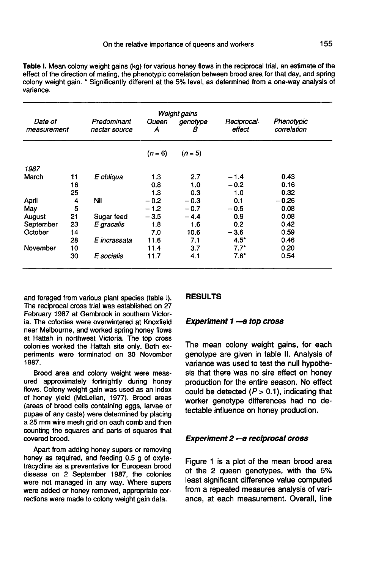Table I. Mean colony weight gains (kg) for various honey flows in the reciprocal trial, an estimate of the effect of the direction of mating, the phenotypic correlation between brood area for that day, and spring colony weight gain. \* Significantly different at the 5% level, as determined from a one-way analysis of variance.

| Weight gains           |    |                              |            |               |                       |                           |
|------------------------|----|------------------------------|------------|---------------|-----------------------|---------------------------|
| Date of<br>measurement |    | Predominant<br>nectar source | Queen<br>Α | genotype<br>в | Reciprocal.<br>effect | Phenotypic<br>correlation |
|                        |    |                              | $(n = 6)$  | $(n=5)$       |                       |                           |
| 1987                   |    |                              |            |               |                       |                           |
| March                  | 11 | E obliqua                    | 1.3        | 2.7           | $-1.4$                | 0.43                      |
|                        | 16 |                              | 0.8        | 1.0           | $-0.2$                | 0.16                      |
|                        | 25 |                              | 1.3        | 0.3           | 1.0                   | 0.32                      |
| April                  | 4  | Nil                          | $-0.2$     | $-0.3$        | 0.1                   | $-0.26$                   |
| May                    | 5  |                              | $-1.2$     | $-0.7$        | $-0.5$                | 0.08                      |
| August                 | 21 | Sugar feed                   | $-3.5$     | $-4.4$        | 0.9                   | 0.08                      |
| September              | 23 | E gracalis                   | 1.8        | 1.6           | 0.2                   | 0.42                      |
| October                | 14 |                              | 7.0        | 10.6          | $-3.6$                | 0.59                      |
|                        | 28 | E incrassata                 | 11.6       | 7.1           | $4.5^*$               | 0.46                      |
| November               | 10 |                              | 11.4       | 3.7           | $7.7^*$               | 0.20                      |
|                        | 30 | E socialis                   | 11.7       | 4.1           | $7.6^*$               | 0.54                      |

and foraged from various plant species (table I). The reciprocal cross trial was established on 27 February 1987 at Gembrook in southern Victoria. The colonies were overwintered at Knoxfield near Melbourne, and worked spring honey flows at Hattah in northwest Victoria. The top cross colonies worked the Hattah site only. Both experiments were terminated on 30 November 1987.

Brood area and colony weight were measured approximately fortnightly during honey flows. Colony weight gain was used as an index of honey yield (McLellan, 1977). Brood areas (areas of brood cells containing eggs, larvae or a 25 mm wire mesh grid on each comb and then counting the squares and parts of squares that covered brood.

Apart from adding honey supers or removing honey as required, and feeding 0.5 g of oxytetracycline as a preventative for European brood disease on 2 September 1987, the colonies were not managed in any way. Where supers were added or honey removed, appropriate corrections were made to colony weight gain data.

#### RESULTS

## Experiment 1 - a top cross

The mean colony weight gains, for each genotype are given in table II. Analysis of variance was used to test the null hypothesis that there was no sire effect on honey production for the entire season. No effect could be detected  $(P > 0.1)$ , indicating that worker genotype differences had no detectable influence on honey production.

#### Experiment 2 - a reciprocal cross

Figure 1 is a plot of the mean brood area of the 2 queen genotypes, with the 5% least significant difference value computed from a repeated measures analysis of variance, at each measurement. Overall, line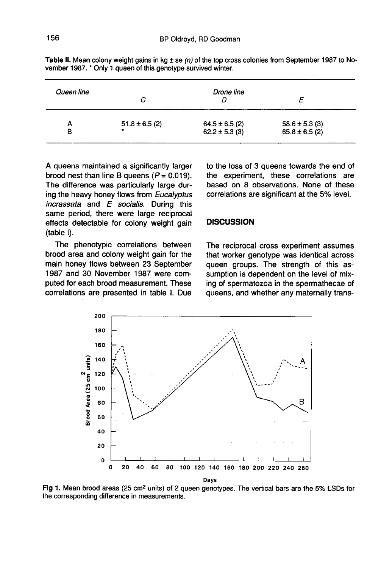| Queen line |                    | Drone line         |                    |
|------------|--------------------|--------------------|--------------------|
| А          | $51.8 \pm 6.5$ (2) | $64.5 \pm 6.5$ (2) | $58.6 \pm 5.3$ (3) |
| в          | $\bullet$          | $62.2 \pm 5.3$ (3) | $65.8 \pm 6.5$ (2) |

Table II. Mean colony weight gains in kg  $\pm$  se (n) of the top cross colonies from September 1987 to November 1987. \* Only 1 queen of this genotype survived winter.

A queens maintained a significantly larger brood nest than line B queens  $(P = 0.019)$ . The difference was particularly large during the heavy honey flows from Eucalyptus incrassata and  $E$  socialis. During this same period, there were large reciprocal effects detectable for colony weight gain (table I).

The phenotypic correlations between brood area and colony weight gain for the main honey flows between 23 September 1987 and 30 November 1987 were computed for each brood measurement. These correlations are presented in table I. Due

to the loss of 3 queens towards the end of the experiment, these correlations are based on 8 observations. None of these correlations are significant at the 5% level.

#### **DISCUSSION**

The reciprocal cross experiment assumes that worker genotype was identical across queen groups. The strength of this assumption is dependent on the level of mixing of spermatozoa in the spermathecae of queens, and whether any maternally trans-



Fig 1. Mean brood areas (25 cm<sup>2</sup> units) of 2 queen genotypes. The vertical bars are the 5% LSDs for the corresponding difference in measurements.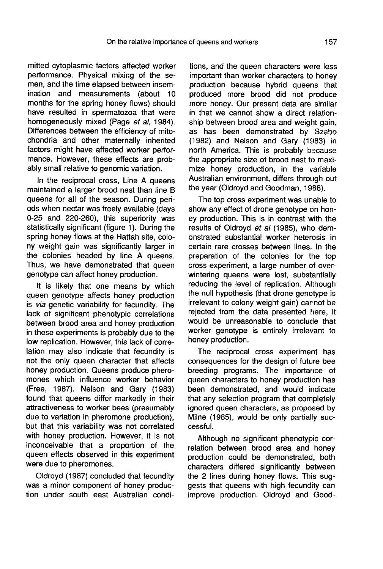mitted cytoplasmic factors affected worker performance. Physical mixing of the semen, and the time elapsed between insemination and measurements (about 10 months for the spring honey flows) should have resulted in spermatozoa that were homogeneously mixed (Page et al, 1984). Differences between the efficiency of mitochondria and other maternally inherited factors might have affected worker perfor mance. However, these effects are probably small relative to genomic variation.

In the reciprocal cross, Line A queens maintained a larger brood nest than line B queens for all of the season. During periods when nectar was freely available (days 0-25 and 220-260), this superiority was statistically significant (figure 1). During the spring honey flows at the Hattah site, colony weight gain was significantly larger in the colonies headed by line A queens. Thus, we have demonstrated that queen genotype can affect honey production.

It is likely that one means by which queen genotype affects honey production is via genetic variability for fecundity. The lack of significant phenotypic correlations between brood area and honey production in these experiments is probably due to the low replication. However, this lack of correlation may also indicate that fecundity is not the only queen character that affects honey production. Queens produce phero mones which influence worker behavior (Free, 1987). Nelson and Gary (1983) found that queens differ markedly in their attractiveness to worker bees (presumably due to variation in pheromone production), but that this variability was not correlated with honey production. However, it is not inconceivable that a proportion of the queen effects observed in this experiment were due to pheromones.

Oldroyd (1987) concluded that fecundity was a minor component of honey production under south east Australian condi-

tions, and the queen characters were less important than worker characters to honey production because hybrid queens that produced more brood did not produce more honey. Our present data are similar in that we cannot show a direct relationship between brood area and weight gain, as has been demonstrated by Szabo (1982) and Nelson and Gary (1983) in north America. This is probably because the appropriate size of brood nest to maximize honey production, in the variable Australian environment, differs through out the year (Oldroyd and Goodman, 1988).

The top cross experiment was unable to show any effect of drone genotype on honey production. This is in contrast with the results of Oldroyd et al (1985), who demonstrated substantial worker heterosis in certain rare crosses between lines. In the preparation of the colonies for the top cross experiment, a large number of overwintering queens were lost, substantially reducing the level of replication. Although the null hypothesis (that drone genotype is irrelevant to colony weight gain) cannot be rejected from the data presented here, it would be unreasonable to conclude that worker genotype is entirely irrelevant to honey production.

The reciprocal cross experiment has consequences for the design of future bee breeding programs. The importance of queen characters to honey production has been demonstrated, and would indicate that any selection program that completely ignored queen characters, as proposed by Milne (1985), would be only partially successful.

Although no significant phenotypic correlation between brood area and honey production could be demonstrated, both characters differed significantly between the 2 lines during honey flows. This suggests that queens with high fecundity can improve production. Oldroyd and Good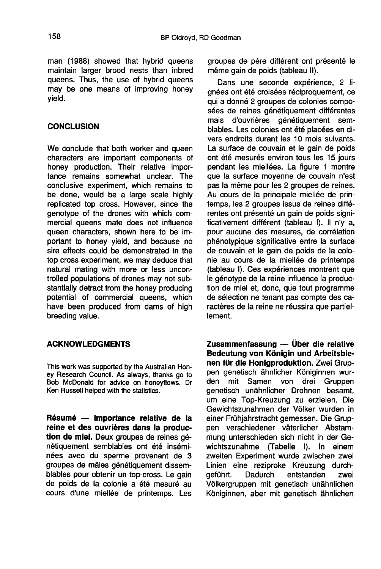man (1988) showed that hybrid queens maintain larger brood nests than inbred queens. Thus, the use of hybrid queens may be one means of improving honey yield.

## **CONCLUSION**

We conclude that both worker and queen characters are important components of honey production. Their relative importance remains somewhat unclear. The conclusive experiment, which remains to be done, would be a large scale highly replicated top cross. However, since the genotype of the drones with which commercial queens mate does not influence queen characters, shown here to be important to honey yield, and because no sire effects could be demonstrated in the top cross experiment, we may deduce that natural mating with more or less uncontrolled populations of drones may not substantially detract from the honey producing potential of commercial queens, which have been produced from dams of high breeding value.

## ACKNOWLEDGMENTS

This work was supported by the Australian Honey Research Council. As always, thanks go to Bob McDonald for advice on honeyflows. Dr Ken Russell helped with the statistics.

Résumé — Importance relative de la reine et des ouvrières dans la production de miel. Deux groupes de reines génétiquement semblables ont été inséminées avec du sperme provenant de 3 groupes de mâles génétiquement dissemblables pour obtenir un top-cross. Le gain de poids de la colonie a été mesuré au cours d'une miellée de printemps. Les groupes de père différent ont présenté le même gain de poids (tableau II).

Dans une seconde expérience, 2 lignées ont été croisées réciproquement, ce qui a donné 2 groupes de colonies composées de reines génétiquement différentes mais d'ouvrières génétiquement semblables. Les colonies ont été placées en divers endroits durant les 10 mois suivants. La surface de couvain et le gain de poids ont été mesurés environ tous les 15 jours pendant les miellées. La figure 1 montre que la surface moyenne de couvain n'est pas la même pour les 2 groupes de reines. Au cours de la principale miellée de printemps, les 2 groupes issus de reines différentes ont présenté un gain de poids significativement différent (tableau I). Il n'y a, pour aucune des mesures, de corrélation phénotypique significative entre la surface de couvain et le gain de poids de la colonie au cours de la miellée de printemps (tableau I). Ces expériences montrent que le génotype de la reine influence la production de miel et, donc, que tout programme de sélection ne tenant pas compte des caractères de la reine ne réussira que partiellement.

Zusammenfassung — Über die relative Bedeutung von Königin und Arbeitsbienen für die Honigproduktion. Zwei Gruppen genetisch ähnlicher Königinnen wur-<br>den mit Samen von drei Gruppen drei Gruppen genetisch unähnlicher Drohnen besamt, um eine Top-Kreuzung zu erzielen. Die Gewichtszunahmen der Völker wurden in einer Frühjahrstracht gemessen. Die Gruppen verschiedener väterlicher Abstammung unterschieden sich nicht in der Gewichtszunahme (Tabelle I). In einem zweiten Experiment wurde zwischen zwei Linien eine reziproke Kreuzung durch-<br>aeführt. Dadurch entstanden zwei entstanden Völkergruppen mit genetisch unähnlichen Königinnen, aber mit genetisch ähnlichen